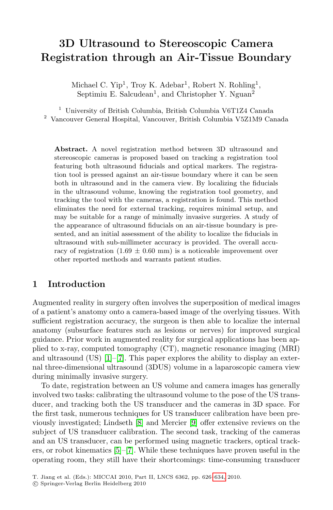# **3D Ultrasound to Stereoscopic Camera Registration through an Air-Tissue Boundary**

Michael C. Yip<sup>1</sup>, Troy K. Adebar<sup>1</sup>, Robert N. Rohling<sup>1</sup>, Septimiu E. Salcudean<sup>1</sup>, and Christopher Y. Nguan<sup>2</sup>

<sup>1</sup> University of British Columbia, British Columbia V6T1Z4 Canada  $^2\,$  Vancouver General Hospital, Vancouver, British Columbia V5Z1M9 Canada

**Abstract.** A novel registration method between 3D ultrasound and stereoscopic cameras is proposed based on tracking a registration tool featuring both ultrasound fiducials and optical markers. The registration tool is pressed against an air-tissue boundary where it can be seen both in ultrasound and in the camera view. By localizing the fiducials in the ultrasound volume, knowing the registration tool geometry, and tracking the tool with the cameras, a registration is found. This method eliminates the need for external tracking, requires minimal setup, and may be suitable for a range of minimally invasive surgeries. A study of the appearance of ultrasound fiducials on an air-tissue boundary is presented, and an initial assessment of the ability to localize the fiducials in ultrasound with sub-millimeter accuracy is provided. The overall accuracy of registration  $(1.69 \pm 0.60 \text{ mm})$  is a noticeable improvement over other reported methods and warrants patient studies.

### **1 Introduction**

Augmented reality in surgery often involves the superposition of medical images of a patient's anatomy onto a camera-based image of the overlying tissues. With sufficient registration accuracy, the surgeon is then able to localize the internal anatomy (subsurface features such as lesions or nerves) for improved surgical guidance. Prior work in augmented reality for surgical applications has been applied to x-ray, computed tomography (CT), magnetic resonance imaging (MRI) and ultrasound (US)  $[1]-[7]$ . This paper explores the ability to display an external three-dimensional ultrasound (3DUS) volume in a laparoscopic camera view during minimally invasive surgery.

To date, registration between an US volume and camera images has generally involved two tasks: calibrating the ultrasound volume to the pose of the US transducer, and tracking both the US [trans](#page-8-0)ducer and the cameras in 3D space. For the first task, numerous techniques for US transducer calibration have been previously investigated; Lindseth [8] and Mercier [9] offer extensive reviews on the subject of US transducer calibration. The second task, tracking of the cameras and an US transducer, can be performed using magnetic trackers, optical trackers, or robot kinematics [5]–[7]. While these techniques have proven useful in the operating room, they still have their shortcomings: time-consuming transducer

T. Jiang et al. (Eds.): MICCAI 2010, Part II, LNCS 6362, pp. 626–634, 2010.

<sup>-</sup>c Springer-Verlag Berlin Heidelberg 2010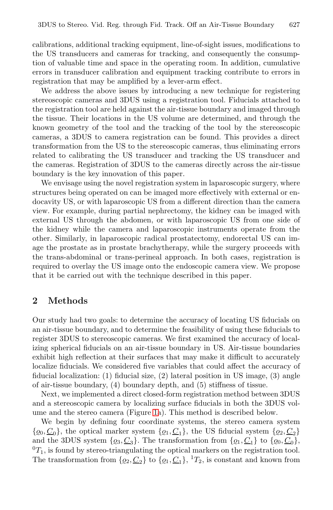calibrations, additional tracking equipment, line-of-sight issues, modifications to the US transducers and cameras for tracking, and consequently the consumption of valuable time and space in the operating room. In addition, cumulative errors in transducer calibration and equipment tracking contribute to errors in registration that may be amplified by a lever-arm effect.

We address the above issues by introducing a new technique for registering stereoscopic cameras and 3DUS using a registration tool. Fiducials attached to the registration tool are held against the air-tissue boundary and imaged through the tissue. Their locations in the US volume are determined, and through the known geometry of the tool and the tracking of the tool by the stereoscopic cameras, a 3DUS to camera registration can be found. This provides a direct transformation from the US to the stereoscopic cameras, thus eliminating errors related to calibrating the US transducer and tracking the US transducer and the cameras. Registration of 3DUS to the cameras directly across the air-tissue boundary is the key innovation of this paper.

We envisage using the novel registration system in laparoscopic surgery, where structures being operated on can be imaged more effectively with external or endocavity US, or with laparoscopic US from a different direction than the camera view. For example, during partial nephrectomy, the kidney can be imaged with external US through the abdomen, or with laparoscopic US from one side of the kidney while the camera and laparoscopic instruments operate from the other. Similarly, in laparoscopic radical prostatectomy, endorectal US can image the prostate as in prostate brachytherapy, while the surgery proceeds with the trans-abdominal or trans-perineal approach. In both cases, registration is required to overlay the US image onto the endoscopic camera view. We propose that it be carried out with the technique described in this paper.

# **2 Methods**

Our study had two goals: to determine the accuracy of locating US fiducials on an air-tissue boundary, and to determine the feasibility of using these fiducials to register 3DUS to stereoscopic cameras. We first examined the accuracy of localizing spherical fiducials on an air-tissue boundary in US. Air-tissue boundaries exhibit high reflection at their surfaces that may make it difficult to accurately localize fiducials. We considered five variables that could affect the accuracy of fiducial localization: (1) fiducial size, (2) lateral position in US image, (3) angle of air-tissue boundary, (4) boundary depth, and (5) stiffness of tissue.

Next, we implemented a direct closed-form registration method between 3DUS -and a stereoscopic camera by localizing surface fiducials in both the 3DUS volume and the stereo camera (Figure 1a). This method is described below.

We begin by defining four coordinate systems, the stereo camera system  $\{o_0, C_0\}$ , the optical marker system  $\{o_1, C_1\}$ , the US fiducial system  $\{o_2, C_2\}$ and the 3DUS system  $\{ \varrho_3, \varrho_3 \}$ . The transformation from  $\{ \varrho_1, \varrho_1 \}$  to  $\{ \varrho_2 \}$ and the 3DUS system  $\{ \varrho_3, \varrho_3 \}$ . The transformation from  $\{ \varrho_1, \varrho_1 \}$  to  $\{ \varrho_0, \varrho_0 \}$ ,<br><sup>0</sup> $T_1$ , is found by stereo-triangulating the optical markers on the registration tool. The transformation from  $\{ \varrho_2, \underline{C}_2 \}$  to  $\{ \varrho_1, \underline{C}_1 \}$ ,  $\{ T_2, \overline{C}_2 \}$  is constant and known from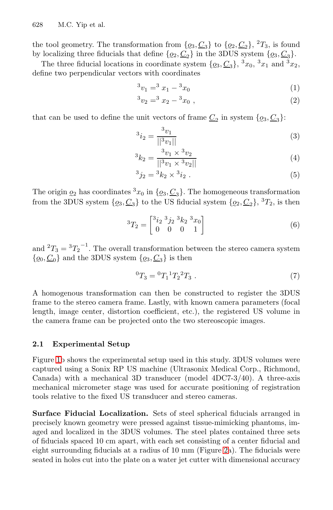628 M.C. Yip et al.

the tool geometry. The transformation from  $\{Q_3, C_3\}$  to  $\{Q_2, C_2\}$ , <sup>2</sup> $T_3$ , is found by localizing three fiducials that define  $\{Q_2, C_2\}$  in the 3DUS system  $\{Q_3, C_3\}$ .

The three fiducial locations in coordinate system  $\{Q_3, \underline{C}_3\}$ ,  ${}^3x_0$ ,  ${}^3x_1$  and  ${}^3x_2$ , define two perpendicular vectors with coordinates

$$
{}^{3}v_{1} = {}^{3}x_{1} - {}^{3}x_{0}
$$
 (1)

$$
{}^{3}v_{2} = {}^{3}x_{2} - {}^{3}x_{0} , \qquad (2)
$$

that can be used to define the unit vectors of frame  $C_2$  in system  $\{Q_3, C_3\}$ :

$$
{}^{3}i_{2} = \frac{{}^{3}v_{1}}{{\left| {{}^{3}v_{1}} \right|}} \tag{3}
$$

$$
{}^{3}k_{2} = \frac{{}^{3}v_{1} \times {}^{3}v_{2}}{{}^{3}v_{1} \times {}^{3}v_{2}||}
$$
 (4)

$$
{}^{3}j_{2} = {}^{3}k_{2} \times {}^{3}i_{2} . \tag{5}
$$

The origin  $q_2$  has coordinates  ${}^3x_0$  in  $\{q_3, Q_3\}$ . The homogeneous transformation from the 3DUS system  $\{ \varrho_3, \varrho_3 \}$  to the US fiducial system  $\{ \varrho_2, \varrho_2 \}$ ,  ${}^3T_2$ , is then  ${}^3k_2 \times {}^3i_2$ .<br>{ $\Omega_3$ ,  $C_3$ }. The l<br>he US fiducial s<br> ${}^3i_2 {}^3j_2 {}^3k_2 {}^3x_0$ <br>0 0 0 1

$$
{}^{3}T_{2} = \begin{bmatrix} {}^{3}i_{2} {}^{3}j_{2} {}^{3}k_{2} {}^{3}x_{0} \\ 0 0 0 1 \end{bmatrix}
$$
 (6)

and  ${}^{2}T_{3} = {}^{3}T_{2}^{-1}$ . The overall transformation between the stereo camera system  $\{ \varrho_0, \underline{C}_0 \}$  and the 3DUS system  $\{ \varrho_3, \underline{C}_3 \}$  is then

$$
{}^{0}T_{3} = {}^{0}T_{1} {}^{1}T_{2} {}^{2}T_{3} . \tag{7}
$$

A homogenous transformation can then be constructed to register the 3DUS frame to the stereo camera frame. Lastly, with known camera parameters (focal length, image center, distortion coefficient, etc.), the registered US volume in the camera frame can be projected onto the two stereoscopic images.

#### **2.1 Experimental Setup**

Figure 1b shows the experimental setup used in this study. 3DUS volumes were captured using a Sonix RP US machine (Ultrasonix Medical Corp., Richmond, Canada) with a mechanical 3D transducer (model 4DC7-3/40). A three-axis mechanical micrometer stage was used for accurate positioning of registration tools relative to the fixed US transducer and stereo cameras.

**Surface Fiducial Localization.** Sets of steel spherical fiducials arranged in precisely known geometry were pressed against tissue-mimicking phantoms, imaged and localized in the 3DUS volumes. The steel plates contained three sets of fiducials spaced 10 cm apart, with each set consisting of a center fiducial and eight surrounding fiducials at a radius of 10 mm (Figure 2a). The fiducials were seated in holes cut into the plate on a water jet cutter with dimensional accuracy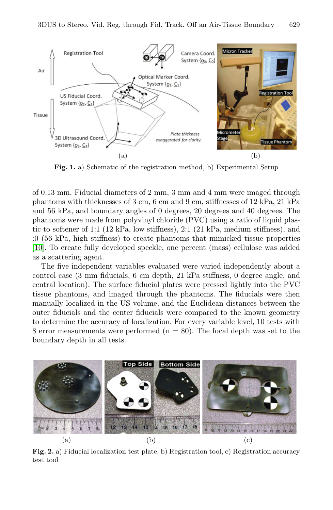

**Fig. 1.** a) Schematic of the registration method, b) Experimental Setup

of 0.13 mm. Fiducial diameters of 2 mm, 3 mm and 4 mm were imaged through phantoms with thicknesses of 3 cm, 6 cm and 9 cm, stiffnesses of 12 kPa, 21 kPa and 56 kPa, and boundary angles of 0 degrees, 20 degrees and 40 degrees. The phantoms were made from polyvinyl chloride (PVC) using a ratio of liquid plastic to softener of 1:1 (12 kPa, low stiffness), 2:1 (21 kPa, medium stiffness), and :0 (56 kPa, high stiffness) to create phantoms that mimicked tissue properties [10]. To create fully developed speckle, one percent (mass) cellulose was added as a scattering agent.

The five independent variables evaluated were varied independently about a control case (3 mm fiducials, 6 cm depth, 21 kPa stiffness, 0 degree angle, and central location). The surface fiducial plates were pressed lightly into the PVC tissue phantoms, and imaged through the phantoms. The fiducials were then manually localized in the US volume, and the Euclidean distances between the outer fiducials and the center fiducials were compared to the known geometry to determine the accuracy of localization. For every variable level, 10 tests with 8 error measurements were performed  $(n = 80)$ . The focal depth was set to the boundary depth in all tests.



**Fig. 2.** a) Fiducial localization test plate, b) Registration tool, c) Registration accuracy test tool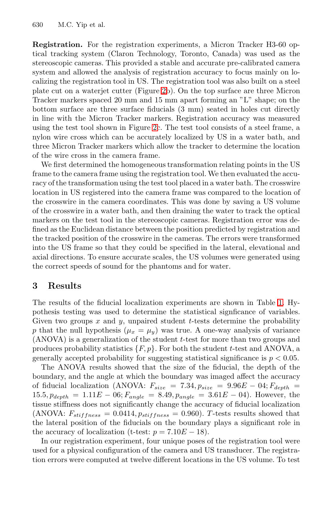#### 630 M.C. Yip et al.

**Registration.** For the registration experiments, a Micron Tracker H3-60 optical tracking system (Claron Technology, Toronto, Canada) was used as the stereoscopic cameras. This provided a stable and accurate pre-calibrated camera system and allowed the analysis of registration accuracy to focus mainly on localizing the registration tool in US. The registration tool was also built on a steel plate cut on a waterjet cutter (Figure 2b). On the top surface are three Micron Tracker markers spaced 20 mm and 15 mm apart forming an "L" shape; on the bottom surface are three surface fiducials (3 mm) seated in holes cut directly in line with the Micron Tracker markers. Registration accuracy was measured using the test tool shown in Figure 2c. The test tool consists of a steel frame, a nylon wire cross which can be accurately localized by US in a water bath, and three Micron Tracker markers which allow the tracker to determine the location of the wire cross in the camera frame.

We first determined the homogeneous transformation relating points in the US frame to the camera frame using the registration tool. We then evaluated the accuracy of the transformation using the test tool placed in a water bath. The crosswire location in US registered into the camera frame was compared to the location of the crosswire in the camera coordinates. This was done by saving a US volume of the crosswire in a water bath, and then draining the water to track the optical markers on the test tool in the stereoscopic cameras. Registration error was defined as the Euclidean distance between the position predicted by registration and the tracked position of the crosswire in the cameras. The errors were transformed into the US frame so that they could be specified in the lateral, elevational and axial directions. To ensure accurate scales, the US volumes were generated using the correct speeds of sound for the phantoms and for water.

## **3 Results**

The results of the fiducial localization experiments are shown in Table 1. Hypothesis testing was used to determine the statistical signficance of variables. Given two groups *x* and *y*, unpaired student *t*-tests determine the probability p that the null hypothesis  $(\mu_x = \mu_y)$  was true. A one-way analysis of variance (ANOVA) is a generalization of the student *t*-test for more than two groups and produces probability statistics *{F, p}*. For both the student *t*-test and ANOVA, a generally accepted probability for suggesting statistical significance is  $p < 0.05$ .

The ANOVA results showed that the size of the fiducial, the depth of the boundary, and the angle at which the boundary was imaged affect the accuracy of fiducial localization (ANOVA:  $F_{size}$  = 7.34,  $p_{size}$  = 9.96*E -* 04;  $F_{depth}$  =  $15.5, p_{depth} = 1.11E - 06; F_{angle} = 8.49, p_{angle} = 3.61E - 04$ . However, the tissue stiffness does not significantly change the accuracy of fiducial localization (ANOVA:  $F_{stiffness} = 0.0414, p_{stiffness} = 0.960$ ). *T*-tests results showed that the lateral position of the fiducials on the boundary plays a significant role in the accuracy of localization (t-test:  $p = 7.10E - 18$ ).

In our registration experiment, four unique poses of the registration tool were used for a physical configuration of the camera and US transducer. The registration errors were computed at twelve different locations in the US volume. To test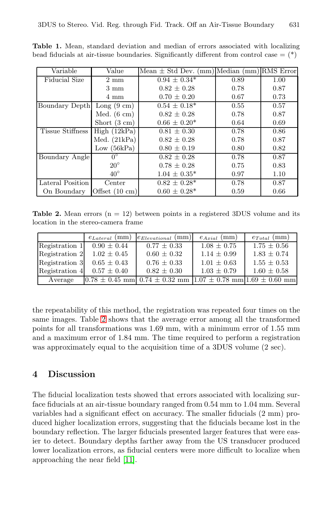| Variable                | Value                    | Mean $\pm$ Std Dev. (mm) Median (mm) RMS Error |      |      |
|-------------------------|--------------------------|------------------------------------------------|------|------|
| Fiducial Size           | $2 \text{ mm}$           | $0.94 \pm 0.34*$                               | 0.89 | 1.00 |
|                         | $3 \text{ mm}$           | $0.82 \pm 0.28$                                | 0.78 | 0.87 |
|                         | $4 \text{ mm}$           | $0.70 \pm 0.20$                                | 0.67 | 0.73 |
| <b>Boundary Depth</b>   | Long $(9 \text{ cm})$    | $0.54 + 0.18*$                                 | 0.55 | 0.57 |
|                         | Med. $(6 \text{ cm})$    | $0.82 \pm 0.28$                                | 0.78 | 0.87 |
|                         | Short $(3 \text{ cm})$   | $0.66 \pm 0.20^*$                              | 0.64 | 0.69 |
| <b>Tissue Stiffness</b> | High (12kPa)             | $0.81 \pm 0.30$                                | 0.78 | 0.86 |
|                         | Med. $(21kPa)$           | $0.82 \pm 0.28$                                | 0.78 | 0.87 |
|                         | Low $(56kPa)$            | $0.80 \pm 0.19$                                | 0.80 | 0.82 |
| Boundary Angle          | $0^{\circ}$              | $0.82 \pm 0.28$                                | 0.78 | 0.87 |
|                         | $20^{\circ}$             | $0.78 \pm 0.28$                                | 0.75 | 0.83 |
|                         | $40^{\circ}$             | $1.04 \pm 0.35^*$                              | 0.97 | 1.10 |
| Lateral Position        | Center                   | $0.82 \pm 0.28^*$                              | 0.78 | 0.87 |
| On Boundary             | Offset $(10 \text{ cm})$ | $0.60 \pm 0.28^*$                              | 0.59 | 0.66 |

**Table 1.** Mean, standard deviation and median of errors associated with localizing bead fiducials at air-tissue boundaries. Significantly different from control case  $=$  (\*)

**Table 2.** Mean errors  $(n = 12)$  between points in a registered 3DUS volume and its location in the stereo-camera frame

|                | $e_{Lateral}$ (mm) | $e_{Elevational}$ (mm)                                                          | $e_{Axial}$ (mm) | (mm)<br>$e_{Total}$ |
|----------------|--------------------|---------------------------------------------------------------------------------|------------------|---------------------|
| Registration 1 | $0.90 \pm 0.44$    | $0.77 \pm 0.33$                                                                 | $1.08 \pm 0.75$  | $1.75 \pm 0.56$     |
| Registration 2 | $1.02 \pm 0.45$    | $0.60 \pm 0.32$                                                                 | $1.14 \pm 0.99$  | $1.83 \pm 0.74$     |
| Registration 3 | $0.65 \pm 0.43$    | $0.76 \pm 0.33$                                                                 | $1.01 + 0.63$    | $1.55 + 0.53$       |
| Registration 4 | $0.57 \pm 0.40$    | $0.82 \pm 0.30$                                                                 | $1.03 \pm 0.79$  | $1.60 \pm 0.58$     |
| Average        |                    | $[0.78 \pm 0.45$ mm $[0.74 \pm 0.32$ mm $[1.07 \pm 0.78$ mm $[1.69 \pm 0.60$ mm |                  |                     |

the repeatability of this method, the registration was repeated four times on the same images. Table 2 shows that the average error among all the transformed points for all transformations was 1.69 mm, with a minimum error of 1.55 mm and a maximum error of 1.84 mm. The time required to perform a registration was approximately equal to the acquisition time of a 3DUS volume (2 sec).

# **4 Discussion**

The fiducial localization tests showed that errors associated with localizing surface fiducials at an air-tissue boundary ranged from 0.54 mm to 1.04 mm. Several variables had a significant effect on accuracy. The smaller fiducials (2 mm) produced higher localization errors, suggesting that the fiducials became lost in the boundary reflection. The larger fiducials presented larger features that were easier to detect. Boundary depths farther away from the US transducer produced lower localization errors, as fiducial centers were more difficult to localize when approaching the near field [11].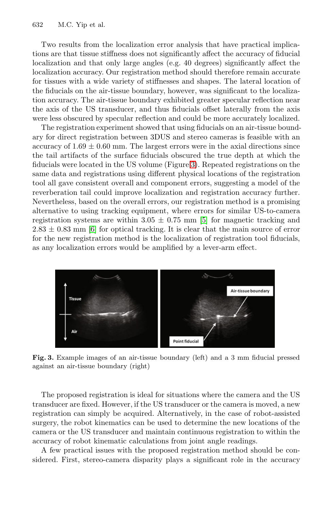632 M.C. Yip et al.

Two results from the localization error analysis that have practical implications are that tissue stiffness does not significantly affect the accuracy of fiducial localization and that only large angles (e.g. 40 degrees) significantly affect the localization accuracy. Our registration method should therefore remain accurate for tissues with a wide variety of stiffnesses and shapes. The lateral location of the fiducials on the air-tissue boundary, however, was significant to the localization accuracy. The air-tissue boundary exhibited greater specular reflection near the axis of the US transducer, and thus fiducials offset laterally from the axis were less obscured by specular reflection and could be more accurately localized.

The registration experiment showed that using fiducials on an air-tissue boundary for direct registration between 3DUS and stereo cameras is feasible with an accuracy of  $1.69 \pm 0.60$  mm. The largest errors were in the axial directions since the tail artifacts of the surface fiducials obscured the true depth at which the fiducials were located in the US volume (Figure 3). Repeated registrations on the same data and registrations using different physical locations of the registration tool all gave consistent overall and component errors, suggesting a model of the reverberation tail could improve localization and registration accuracy further. Nevertheless, based on the overall errors, our registration method is a promising alternative to using tracking equipment, where errors for similar US-to-camera registration systems are within  $3.05 \pm 0.75$  mm [5] for magnetic tracking and  $2.83 \pm 0.83$  mm [6] for optical tracking. It is clear that the main source of error for the new registration method is the localization of registration tool fiducials, as any localization errors would be amplified by a lever-arm effect.



**Fig. 3.** Example images of an air-tissue boundary (left) and a 3 mm fiducial pressed against an air-tissue boundary (right)

The proposed registration is ideal for situations where the camera and the US transducer are fixed. However, if the US transducer or the camera is moved, a new registration can simply be acquired. Alternatively, in the case of robot-assisted surgery, the robot kinematics can be used to determine the new locations of the camera or the US transducer and maintain continuous registration to within the accuracy of robot kinematic calculations from joint angle readings.

A few practical issues with the proposed registration method should be considered. First, stereo-camera disparity plays a significant role in the accuracy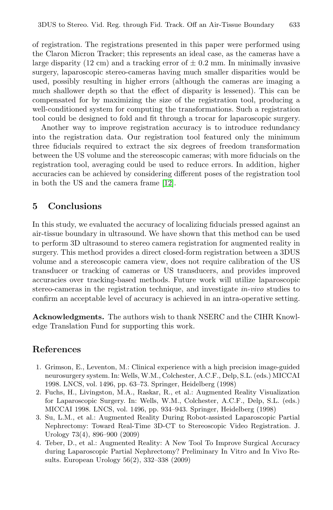of registration. The registrations presented in this paper were performed using the Claron Micron Tracker; this represents an ideal case, as the cameras have a large disparity  $(12 \text{ cm})$  and a tracking error of  $\pm 0.2 \text{ mm}$ . In minimally invasive surgery, laparoscopic stereo-cameras having much smaller disparities would be used, possibly resulting in higher errors (although the cameras are imaging a much shallower depth so that the effect of disparity is lessened). This can be compensated for by maximizing the size of the registration tool, producing a well-conditioned system for computing the transformations. Such a registration tool could be designed to fold and fit through a trocar for laparoscopic surgery.

Another way to improve registration accuracy is to introduce redundancy into the registration data. Our registration tool featured only the minimum three fiducials required to extract the six degrees of freedom transformation between the US volume and the stereoscopic cameras; with more fiducials on the registration tool, averaging could be used to reduce errors. In addition, higher accuracies can be achieved by considering different poses of the registration tool in both the US and the camera frame [12].

### **5 Conclusions**

In this study, we evaluated the accuracy of localizing fiducials pressed against an air-tissue boundary in ultrasound. We have shown that this method can be used to perform 3D ultrasound to stereo camera registration for augmented reality in surgery. This method provides a direct closed-form registration between a 3DUS volume and a stereoscopic camera view, does not require calibration of the US transducer or tracking of cameras or US transducers, and provides improved accuracies over tracking-based methods. Future work will utilize laparoscopic stereo-cameras in the registration technique, and investigate *in-vivo* studies to confirm an acceptable level of accuracy is achieved in an intra-operative setting.

**Acknowledgments.** The authors wish to thank NSERC and the CIHR Knowledge Translation Fund for supporting this work.

# **References**

- 1. Grimson, E., Leventon, M.: Clinical experience with a high precision image-guided neurosurgery system. In: Wells, W.M., Colchester, A.C.F., Delp, S.L. (eds.) MICCAI 1998. LNCS, vol. 1496, pp. 63–73. Springer, Heidelberg (1998)
- 2. Fuchs, H., Livingston, M.A., Raskar, R., et al.: Augmented Reality Visualization for Laparoscopic Surgery. In: Wells, W.M., Colchester, A.C.F., Delp, S.L. (eds.) MICCAI 1998. LNCS, vol. 1496, pp. 934–943. Springer, Heidelberg (1998)
- 3. Su, L.M., et al.: Augmented Reality During Robot-assisted Laparoscopic Partial Nephrectomy: Toward Real-Time 3D-CT to Stereoscopic Video Registration. J. Urology 73(4), 896–900 (2009)
- 4. Teber, D., et al.: Augmented Reality: A New Tool To Improve Surgical Accuracy during Laparoscopic Partial Nephrectomy? Preliminary In Vitro and In Vivo Results. European Urology 56(2), 332–338 (2009)